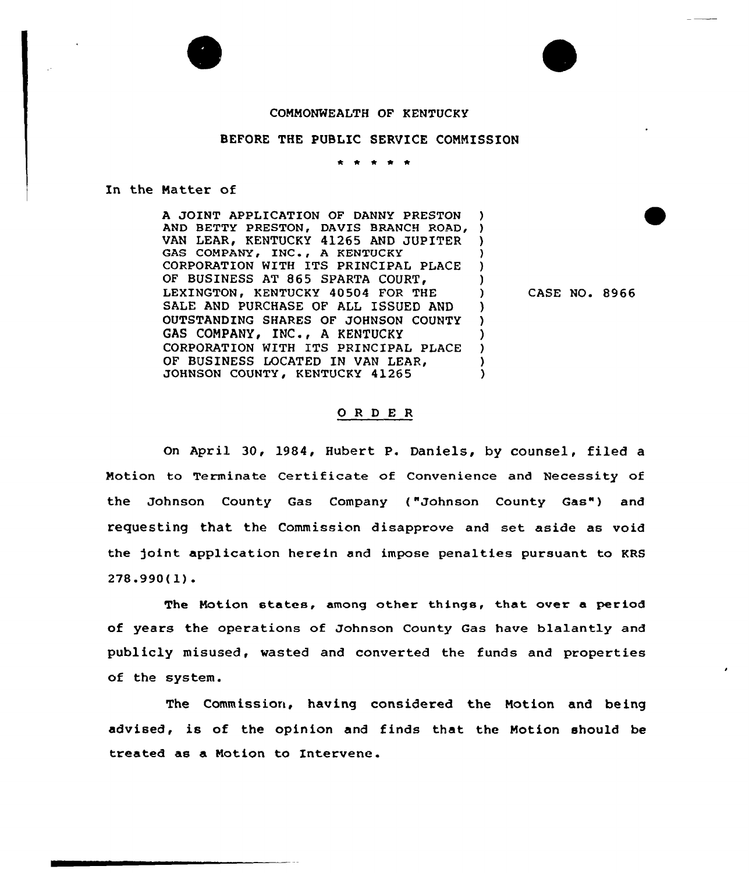## COMMONWEALTH OF KENTUCKY

## BEFORE THE PUBLIC SERVICE COMMISSION

 $\begin{array}{cccccccccccccc} \bullet & \bullet & \bullet & \bullet & \bullet & \bullet \end{array}$ 

In the Natter of

A JOINT APPLICATION OF DANNY PRESTON AND BETTY PRESTON, DAVIS BRANCH ROAD, ) VAN LEAR, KENTUCKY 41265 AND JUPITER ) GAS COMPANY, INC., A KENTUCKY CORPORATION WITH ITS PRINCIPAL PLACE ) OF BUSINESS AT 865 SPARTA COURT. LEXINGTON, KENTUCKY 40504 FOR THE ) SALE AND PURCHASE OF ALL ISSUED AND )<br>OUTSTANDING SHARES OF JOHNSON COUNTY ) OUTSTANDING SHARES OF JOHNSON COUNTY ) GAS COMPANY, INC., A KENTUCKY (3)<br>CORPORATION WITH ITS PRINCIPAL PLACE (3) CORPORATION WITH ITS PRINCIPAL PLACE OF BUSINESS LOCATED IN VAN LEAR, (1988)<br>JOHNSON COUNTY, KENTUCKY 41265 JOHNSON COUNTY, KENTUCKY 41265

CASE NO. 8966

## ORDER

On April 30, 1984, Hubert P. Daniels, by counsel, filed a Notion to Terminate Certificate of Convenience and Necessity of the Johnson County Gas Company ("Johnson County Gas") and requesting that the Commission disapprove and set aside as void the joint application herein and impose penalties pursuant to KRS 278.990(3.).

The Motion states, among other things, that over a period of years the operations of Johnson County Gas have blalantly and publicly misused, wasted and converted the funds and properties of the system.

The Commission, having considered the Motion and being advised, is of the opinion and finds that the Notion should be treated as <sup>a</sup> Motion to Intervene .